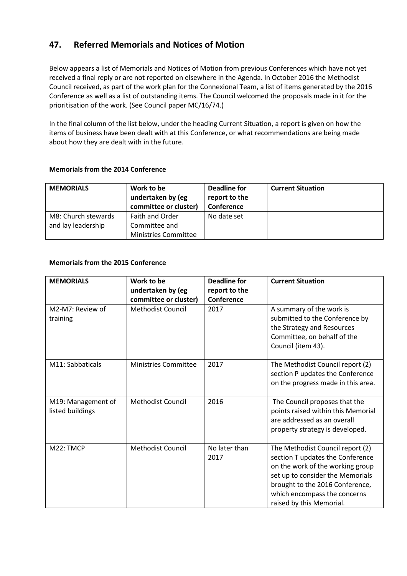# **47. Referred Memorials and Notices of Motion**

Below appears a list of Memorials and Notices of Motion from previous Conferences which have not yet received a final reply or are not reported on elsewhere in the Agenda. In October 2016 the Methodist Council received, as part of the work plan for the Connexional Team, a list of items generated by the 2016 Conference as well as a list of outstanding items. The Council welcomed the proposals made in it for the prioritisation of the work. (See Council paper MC/16/74.)

In the final column of the list below, under the heading Current Situation, a report is given on how the items of business have been dealt with at this Conference, or what recommendations are being made about how they are dealt with in the future.

#### **Memorials from the 2014 Conference**

| <b>MEMORIALS</b>    | Work to be<br>undertaken by (eg<br>committee or cluster) | Deadline for<br>report to the<br>Conference | <b>Current Situation</b> |
|---------------------|----------------------------------------------------------|---------------------------------------------|--------------------------|
| M8: Church stewards | <b>Faith and Order</b>                                   | No date set                                 |                          |
| and lay leadership  | Committee and                                            |                                             |                          |
|                     | <b>Ministries Committee</b>                              |                                             |                          |

### **Memorials from the 2015 Conference**

| <b>MEMORIALS</b>                       | Work to be<br>undertaken by (eg<br>committee or cluster) | <b>Deadline for</b><br>report to the<br>Conference | <b>Current Situation</b>                                                                                                                                                                                                                    |
|----------------------------------------|----------------------------------------------------------|----------------------------------------------------|---------------------------------------------------------------------------------------------------------------------------------------------------------------------------------------------------------------------------------------------|
| M2-M7: Review of<br>training           | <b>Methodist Council</b>                                 | 2017                                               | A summary of the work is<br>submitted to the Conference by<br>the Strategy and Resources<br>Committee, on behalf of the<br>Council (item 43).                                                                                               |
| M11: Sabbaticals                       | <b>Ministries Committee</b>                              | 2017                                               | The Methodist Council report (2)<br>section P updates the Conference<br>on the progress made in this area.                                                                                                                                  |
| M19: Management of<br>listed buildings | <b>Methodist Council</b>                                 | 2016                                               | The Council proposes that the<br>points raised within this Memorial<br>are addressed as an overall<br>property strategy is developed.                                                                                                       |
| M22: TMCP                              | <b>Methodist Council</b>                                 | No later than<br>2017                              | The Methodist Council report (2)<br>section T updates the Conference<br>on the work of the working group<br>set up to consider the Memorials<br>brought to the 2016 Conference,<br>which encompass the concerns<br>raised by this Memorial. |